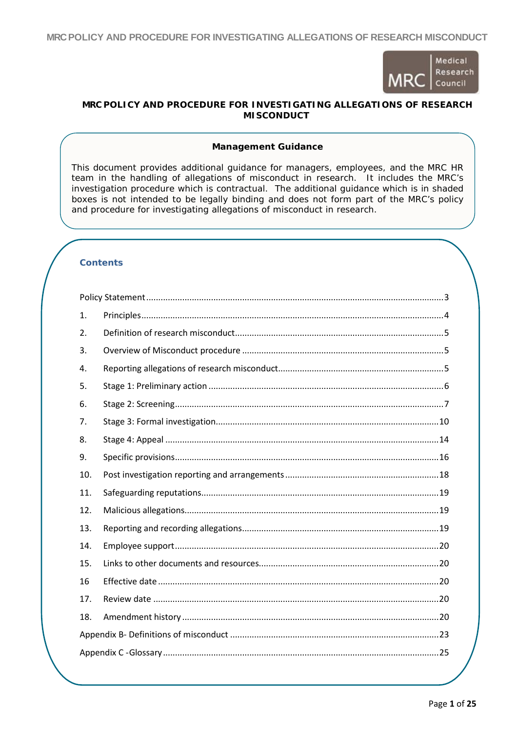**MRCPOLICY AND PROCEDURE FOR INVESTIGATING ALLEGATIONS OF RESEARCH MISCONDUCT**



## **MRC POLICY AND PROCEDURE FOR INVESTIGATING ALLEGATIONS OF RESEARCH MISCONDUCT**

## **Management Guidance**

This document provides additional guidance for managers, employees, and the MRC HR team in the handling of allegations of misconduct in research. It includes the MRC's investigation procedure which is contractual. The additional guidance which is in shaded boxes is not intended to be legally binding and does not form part of the MRC's policy and procedure for investigating allegations of misconduct in research.

# **Contents**

| 1.  |  |  |  |
|-----|--|--|--|
| 2.  |  |  |  |
| 3.  |  |  |  |
| 4.  |  |  |  |
| 5.  |  |  |  |
| 6.  |  |  |  |
| 7.  |  |  |  |
| 8.  |  |  |  |
| 9.  |  |  |  |
| 10. |  |  |  |
| 11. |  |  |  |
| 12. |  |  |  |
| 13. |  |  |  |
| 14. |  |  |  |
| 15. |  |  |  |
| 16  |  |  |  |
| 17. |  |  |  |
| 18. |  |  |  |
|     |  |  |  |
|     |  |  |  |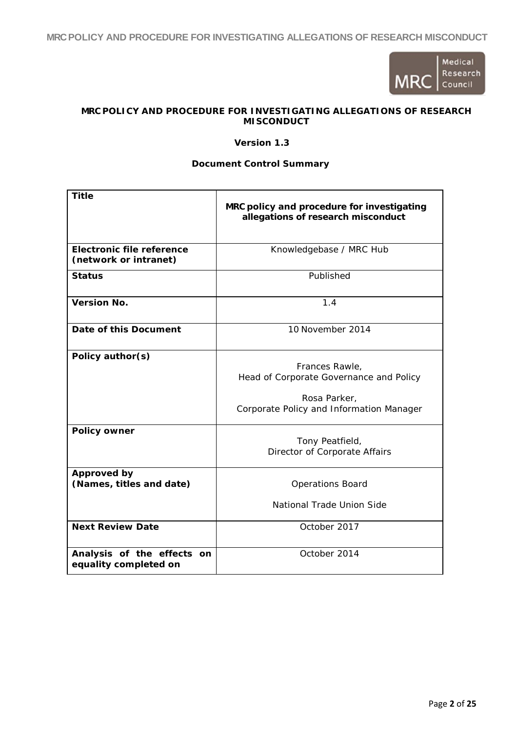**MRCPOLICY AND PROCEDURE FOR INVESTIGATING ALLEGATIONS OF RESEARCH MISCONDUCT**



# **MRC POLICY AND PROCEDURE FOR INVESTIGATING ALLEGATIONS OF RESEARCH MISCONDUCT**

### **Version 1.3**

## **Document Control Summary**

| <b>Title</b>                                        |                                                                                  |
|-----------------------------------------------------|----------------------------------------------------------------------------------|
|                                                     | MRC policy and procedure for investigating<br>allegations of research misconduct |
|                                                     |                                                                                  |
| <b>Electronic file reference</b>                    | Knowledgebase / MRC Hub                                                          |
| (network or intranet)                               |                                                                                  |
| <b>Status</b>                                       | Published                                                                        |
| <b>Version No.</b>                                  | 1.4                                                                              |
| Date of this Document                               | 10 November 2014                                                                 |
| Policy author(s)                                    |                                                                                  |
|                                                     | Frances Rawle,<br>Head of Corporate Governance and Policy                        |
|                                                     | Rosa Parker,                                                                     |
|                                                     | Corporate Policy and Information Manager                                         |
| <b>Policy owner</b>                                 |                                                                                  |
|                                                     | Tony Peatfield,<br>Director of Corporate Affairs                                 |
| Approved by                                         |                                                                                  |
| (Names, titles and date)                            | <b>Operations Board</b>                                                          |
|                                                     | National Trade Union Side                                                        |
| <b>Next Review Date</b>                             | October 2017                                                                     |
| Analysis of the effects on<br>equality completed on | October 2014                                                                     |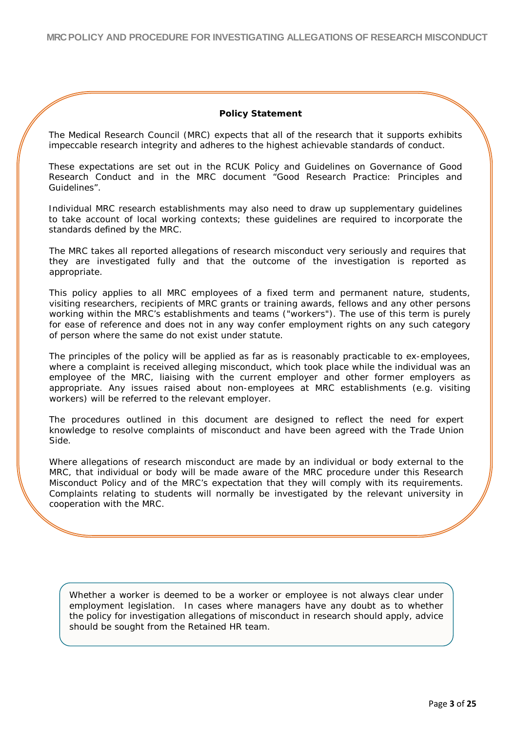## **Policy Statement**

<span id="page-2-0"></span>The Medical Research Council (MRC) expects that all of the research that it supports exhibits impeccable research integrity and adheres to the highest achievable standards of conduct.

These expectations are set out in the RCUK Policy and Guidelines on Governance of Good Research Conduct and in the MRC document "Good Research Practice: Principles and Guidelines".

Individual MRC research establishments may also need to draw up supplementary guidelines to take account of local working contexts; these guidelines are required to incorporate the standards defined by the MRC.

The MRC takes all reported allegations of research misconduct very seriously and requires that they are investigated fully and that the outcome of the investigation is reported as appropriate.

This policy applies to all MRC employees of a fixed term and permanent nature, students, visiting researchers, recipients of MRC grants or training awards, fellows and any other persons working within the MRC's establishments and teams ("workers"). The use of this term is purely for ease of reference and does not in any way confer employment rights on any such category of person where the same do not exist under statute.

The principles of the policy will be applied as far as is reasonably practicable to ex-employees, where a complaint is received alleging misconduct, which took place while the individual was an employee of the MRC, liaising with the current employer and other former employers as appropriate. Any issues raised about non-employees at MRC establishments (e.g. visiting workers) will be referred to the relevant employer.

The procedures outlined in this document are designed to reflect the need for expert knowledge to resolve complaints of misconduct and have been agreed with the Trade Union Side.

Where allegations of research misconduct are made by an individual or body external to the MRC, that individual or body will be made aware of the MRC procedure under this Research Misconduct Policy and of the MRC's expectation that they will comply with its requirements. Complaints relating to students will normally be investigated by the relevant university in cooperation with the MRC.

Whether a worker is deemed to be a worker or employee is not always clear under employment legislation. In cases where managers have any doubt as to whether the policy for investigation allegations of misconduct in research should apply, advice should be sought from the Retained HR team.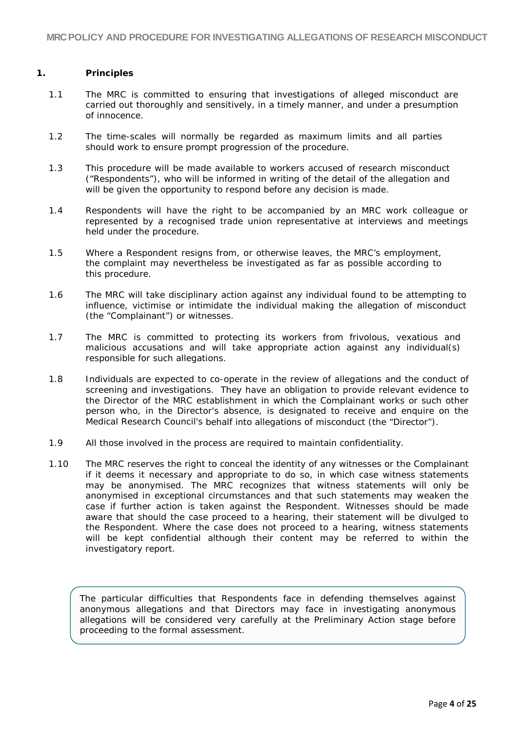## <span id="page-3-0"></span>**1. Principles**

- 1.1 The MRC is committed to ensuring that investigations of alleged misconduct are carried out thoroughly and sensitively, in a timely manner, and under a presumption of innocence.
- 1.2 The time-scales will normally be regarded as maximum limits and all parties should work to ensure prompt progression of the procedure.
- 1.3 This procedure will be made available to workers accused of research misconduct ("Respondents"), who will be informed in writing of the detail of the allegation and will be given the opportunity to respond before any decision is made.
- 1.4 Respondents will have the right to be accompanied by an MRC work colleague or represented by a recognised trade union representative at interviews and meetings held under the procedure.
- 1.5 Where a Respondent resigns from, or otherwise leaves, the MRC's employment, the complaint may nevertheless be investigated as far as possible according to this procedure.
- 1.6 The MRC will take disciplinary action against any individual found to be attempting to influence, victimise or intimidate the individual making the allegation of misconduct (the "Complainant") or witnesses.
- 1.7 The MRC is committed to protecting its workers from frivolous, vexatious and malicious accusations and will take appropriate action against any individual(s) responsible for such allegations.
- 1.8 Individuals are expected to co-operate in the review of allegations and the conduct of screening and investigations. They have an obligation to provide relevant evidence to the Director of the MRC establishment in which the Complainant works or such other person who, in the Director's absence, is designated to receive and enquire on the Medical Research Council's behalf into allegations of misconduct (the "Director").
- 1.9 All those involved in the process are required to maintain confidentiality.
- 1.10 The MRC reserves the right to conceal the identity of any witnesses or the Complainant if it deems it necessary and appropriate to do so, in which case witness statements may be anonymised. The MRC recognizes that witness statements will only be anonymised in exceptional circumstances and that such statements may weaken the case if further action is taken against the Respondent. Witnesses should be made aware that should the case proceed to a hearing, their statement will be divulged to the Respondent. Where the case does not proceed to a hearing, witness statements will be kept confidential although their content may be referred to within the investigatory report.

The particular difficulties that Respondents face in defending themselves against anonymous allegations and that Directors may face in investigating anonymous allegations will be considered very carefully at the Preliminary Action stage before proceeding to the formal assessment.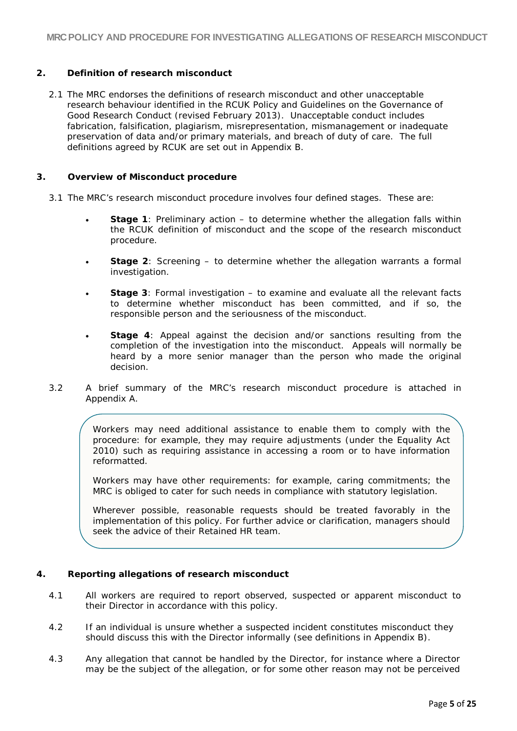## <span id="page-4-0"></span>**2. Definition of research misconduct**

2.1 The MRC endorses the definitions of research misconduct and other unacceptable research behaviour identified in the RCUK Policy and Guidelines on the Governance of Good Research Conduct (revised February 2013). Unacceptable conduct includes fabrication, falsification, plagiarism, misrepresentation, mismanagement or inadequate preservation of data and/or primary materials, and breach of duty of care. The full definitions agreed by RCUK are set out in Appendix B.

## <span id="page-4-1"></span>**3. Overview of Misconduct procedure**

- 3.1 The MRC's research misconduct procedure involves four defined stages. These are:
	- **Stage 1**: Preliminary action to determine whether the allegation falls within the RCUK definition of misconduct and the scope of the research misconduct procedure.
	- **Stage 2**: Screening to determine whether the allegation warrants a formal investigation.
	- **Stage 3**: Formal investigation to examine and evaluate all the relevant facts to determine whether misconduct has been committed, and if so, the responsible person and the seriousness of the misconduct.
	- **Stage 4**: Appeal against the decision and/or sanctions resulting from the completion of the investigation into the misconduct. Appeals will normally be heard by a more senior manager than the person who made the original decision.
- 3.2 A brief summary of the MRC's research misconduct procedure is attached in Appendix A.

Workers may need additional assistance to enable them to comply with the procedure: for example, they may require adjustments (under the Equality Act 2010) such as requiring assistance in accessing a room or to have information reformatted.

Workers may have other requirements: for example, caring commitments; the MRC is obliged to cater for such needs in compliance with statutory legislation.

Wherever possible, reasonable requests should be treated favorably in the implementation of this policy. For further advice or clarification, managers should seek the advice of their Retained HR team.

## <span id="page-4-2"></span>**4. Reporting allegations of research misconduct**

- 4.1 All workers are required to report observed, suspected or apparent misconduct to their Director in accordance with this policy.
- 4.2 If an individual is unsure whether a suspected incident constitutes misconduct they should discuss this with the Director informally (see definitions in Appendix B).
- 4.3 Any allegation that cannot be handled by the Director, for instance where a Director may be the subject of the allegation, or for some other reason may not be perceived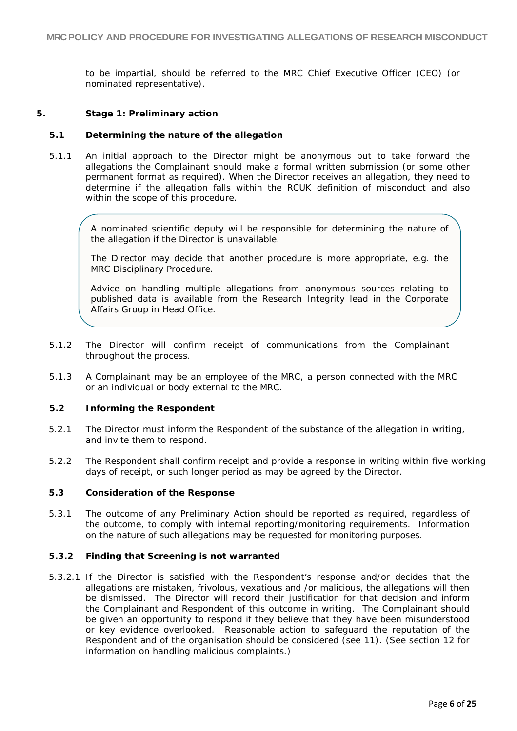to be impartial, should be referred to the MRC Chief Executive Officer (CEO) (or nominated representative).

## <span id="page-5-0"></span>**5. Stage 1: Preliminary action**

## **5.1 Determining the nature of the allegation**

5.1.1 An initial approach to the Director might be anonymous but to take forward the allegations the Complainant should make a formal written submission (or some other permanent format as required). When the Director receives an allegation, they need to determine if the allegation falls within the RCUK definition of misconduct and also within the scope of this procedure.

A nominated scientific deputy will be responsible for determining the nature of the allegation if the Director is unavailable.

The Director may decide that another procedure is more appropriate, e.g. the MRC Disciplinary Procedure.

Advice on handling multiple allegations from anonymous sources relating to published data is available from the Research Integrity lead in the Corporate Affairs Group in Head Office.

- 5.1.2 The Director will confirm receipt of communications from the Complainant throughout the process.
- 5.1.3 A Complainant may be an employee of the MRC, a person connected with the MRC or an individual or body external to the MRC.

## **5.2 Informing the Respondent**

- 5.2.1 The Director must inform the Respondent of the substance of the allegation in writing, and invite them to respond.
- 5.2.2 The Respondent shall confirm receipt and provide a response in writing within five working days of receipt, or such longer period as may be agreed by the Director.

### **5.3 Consideration of the Response**

5.3.1 The outcome of any Preliminary Action should be reported as required, regardless of the outcome, to comply with internal reporting/monitoring requirements. Information on the nature of such allegations may be requested for monitoring purposes.

### **5.3.2 Finding that Screening is not warranted**

5.3.2.1 If the Director is satisfied with the Respondent's response and/or decides that the allegations are mistaken, frivolous, vexatious and /or malicious, the allegations will then be dismissed. The Director will record their justification for that decision and inform the Complainant and Respondent of this outcome in writing. The Complainant should be given an opportunity to respond if they believe that they have been misunderstood or key evidence overlooked. Reasonable action to safeguard the reputation of the Respondent and of the organisation should be considered (see 11). (See section 12 for information on handling malicious complaints.)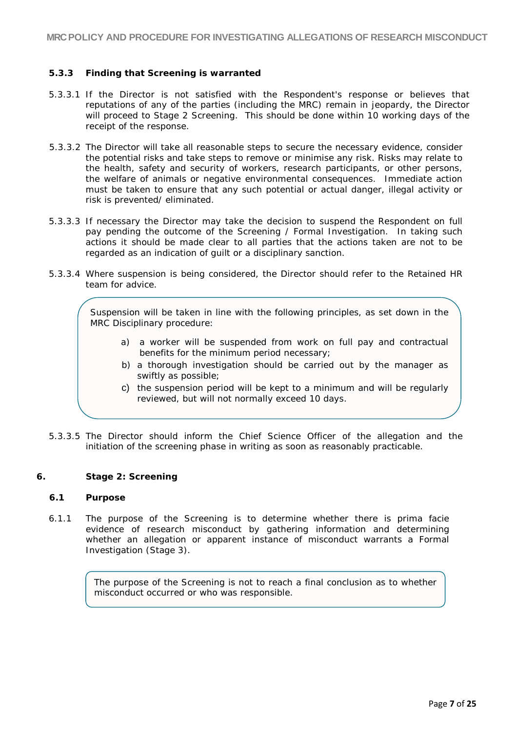## **5.3.3 Finding that Screening is warranted**

- 5.3.3.1 If the Director is not satisfied with the Respondent's response or believes that reputations of any of the parties (including the MRC) remain in jeopardy, the Director will proceed to Stage 2 Screening. This should be done within 10 working days of the receipt of the response.
- 5.3.3.2 The Director will take all reasonable steps to secure the necessary evidence, consider the potential risks and take steps to remove or minimise any risk. Risks may relate to the health, safety and security of workers, research participants, or other persons, the welfare of animals or negative environmental consequences. Immediate action must be taken to ensure that any such potential or actual danger, illegal activity or risk is prevented/ eliminated.
- 5.3.3.3 If necessary the Director may take the decision to suspend the Respondent on full pay pending the outcome of the Screening / Formal Investigation. In taking such actions it should be made clear to all parties that the actions taken are not to be regarded as an indication of guilt or a disciplinary sanction.
- 5.3.3.4 Where suspension is being considered, the Director should refer to the Retained HR team for advice.

Suspension will be taken in line with the following principles, as set down in the MRC Disciplinary procedure:

- a) a worker will be suspended from work on full pay and contractual benefits for the minimum period necessary;
- b) a thorough investigation should be carried out by the manager as swiftly as possible;
- c) the suspension period will be kept to a minimum and will be regularly reviewed, but will not normally exceed 10 days.
- 5.3.3.5 The Director should inform the Chief Science Officer of the allegation and the initiation of the screening phase in writing as soon as reasonably practicable.

### <span id="page-6-0"></span>**6. Stage 2: Screening**

### **6.1 Purpose**

6.1.1 The purpose of the Screening is to determine whether there is prima facie evidence of research misconduct by gathering information and determining whether an allegation or apparent instance of misconduct warrants a Formal Investigation (Stage 3).

> The purpose of the Screening is not to reach a final conclusion as to whether misconduct occurred or who was responsible.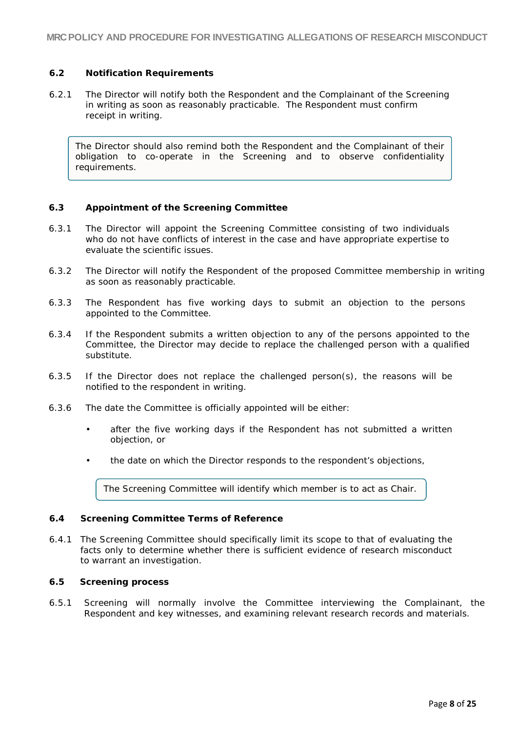## **6.2 Notification Requirements**

6.2.1 The Director will notify both the Respondent and the Complainant of the Screening in writing as soon as reasonably practicable. The Respondent must confirm receipt in writing.

The Director should also remind both the Respondent and the Complainant of their obligation to co-operate in the Screening and to observe confidentiality requirements.

## **6.3 Appointment of the Screening Committee**

- 6.3.1 The Director will appoint the Screening Committee consisting of two individuals who do not have conflicts of interest in the case and have appropriate expertise to evaluate the scientific issues.
- 6.3.2 The Director will notify the Respondent of the proposed Committee membership in writing as soon as reasonably practicable.
- 6.3.3 The Respondent has five working days to submit an objection to the persons appointed to the Committee.
- 6.3.4 If the Respondent submits a written objection to any of the persons appointed to the Committee, the Director may decide to replace the challenged person with a qualified substitute.
- 6.3.5 If the Director does not replace the challenged person(s), the reasons will be notified to the respondent in writing.
- 6.3.6 The date the Committee is officially appointed will be either:
	- after the five working days if the Respondent has not submitted a written objection, or
	- the date on which the Director responds to the respondent's objections,

The Screening Committee will identify which member is to act as Chair.

## **6.4 Screening Committee Terms of Reference**

6.4.1 The Screening Committee should specifically limit its scope to that of evaluating the facts only to determine whether there is sufficient evidence of research misconduct to warrant an investigation.

### **6.5 Screening process**

6.5.1 Screening will normally involve the Committee interviewing the Complainant, the Respondent and key witnesses, and examining relevant research records and materials.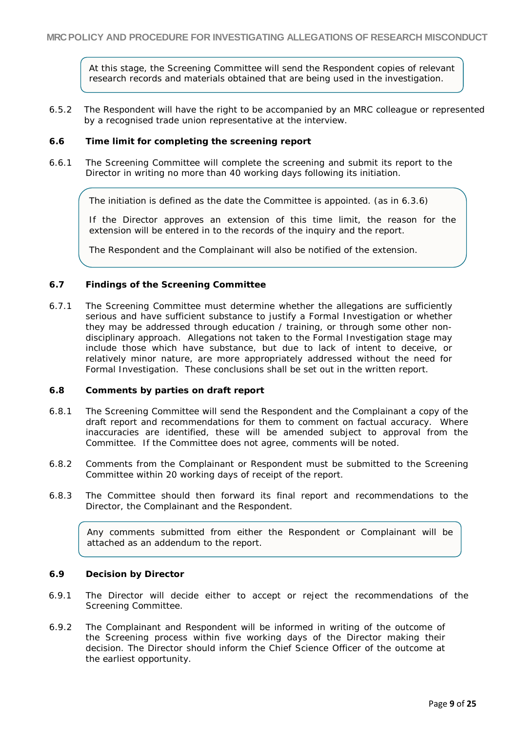At this stage, the Screening Committee will send the Respondent copies of relevant research records and materials obtained that are being used in the investigation.

6.5.2 The Respondent will have the right to be accompanied by an MRC colleague or represented by a recognised trade union representative at the interview.

### **6.6 Time limit for completing the screening report**

6.6.1 The Screening Committee will complete the screening and submit its report to the Director in writing no more than 40 working days following its initiation.

The initiation is defined as the date the Committee is appointed. (as in 6.3.6)

If the Director approves an extension of this time limit, the reason for the extension will be entered in to the records of the inquiry and the report.

The Respondent and the Complainant will also be notified of the extension.

### **6.7 Findings of the Screening Committee**

6.7.1 The Screening Committee must determine whether the allegations are sufficiently serious and have sufficient substance to justify a Formal Investigation or whether they may be addressed through education / training, or through some other nondisciplinary approach. Allegations not taken to the Formal Investigation stage may include those which have substance, but due to lack of intent to deceive, or relatively minor nature, are more appropriately addressed without the need for Formal Investigation. These conclusions shall be set out in the written report.

### **6.8 Comments by parties on draft report**

- 6.8.1 The Screening Committee will send the Respondent and the Complainant a copy of the draft report and recommendations for them to comment on factual accuracy. Where inaccuracies are identified, these will be amended subject to approval from the Committee. If the Committee does not agree, comments will be noted.
- 6.8.2 Comments from the Complainant or Respondent must be submitted to the Screening Committee within 20 working days of receipt of the report.
- 6.8.3 The Committee should then forward its final report and recommendations to the Director, the Complainant and the Respondent.

Any comments submitted from either the Respondent or Complainant will be attached as an addendum to the report.

### **6.9 Decision by Director**

- 6.9.1 The Director will decide either to accept or reject the recommendations of the Screening Committee.
- 6.9.2 The Complainant and Respondent will be informed in writing of the outcome of the Screening process within five working days of the Director making their decision. The Director should inform the Chief Science Officer of the outcome at the earliest opportunity.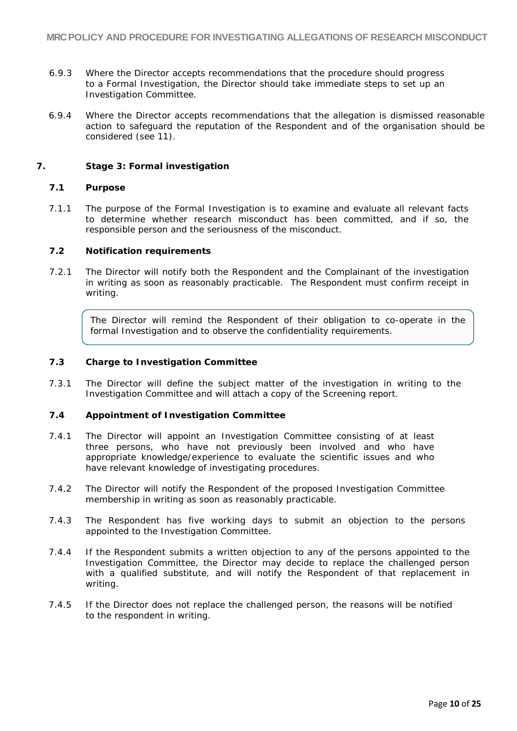- 6.9.3 Where the Director accepts recommendations that the procedure should progress to a Formal Investigation, the Director should take immediate steps to set up an Investigation Committee.
- 6.9.4 Where the Director accepts recommendations that the allegation is dismissed reasonable action to safeguard the reputation of the Respondent and of the organisation should be considered (see 11).

## <span id="page-9-0"></span>**7. Stage 3: Formal investigation**

## **7.1 Purpose**

7.1.1 The purpose of the Formal Investigation is to examine and evaluate all relevant facts to determine whether research misconduct has been committed, and if so, the responsible person and the seriousness of the misconduct.

## **7.2 Notification requirements**

7.2.1 The Director will notify both the Respondent and the Complainant of the investigation in writing as soon as reasonably practicable. The Respondent must confirm receipt in writing.

The Director will remind the Respondent of their obligation to co-operate in the formal Investigation and to observe the confidentiality requirements.

## **7.3 Charge to Investigation Committee**

7.3.1 The Director will define the subject matter of the investigation in writing to the Investigation Committee and will attach a copy of the Screening report.

## **7.4 Appointment of Investigation Committee**

- 7.4.1 The Director will appoint an Investigation Committee consisting of at least three persons, who have not previously been involved and who have appropriate knowledge/experience to evaluate the scientific issues and who have relevant knowledge of investigating procedures.
- 7.4.2 The Director will notify the Respondent of the proposed Investigation Committee membership in writing as soon as reasonably practicable.
- 7.4.3 The Respondent has five working days to submit an objection to the persons appointed to the Investigation Committee.
- 7.4.4 If the Respondent submits a written objection to any of the persons appointed to the Investigation Committee, the Director may decide to replace the challenged person with a qualified substitute, and will notify the Respondent of that replacement in writing.
- 7.4.5 If the Director does not replace the challenged person, the reasons will be notified to the respondent in writing.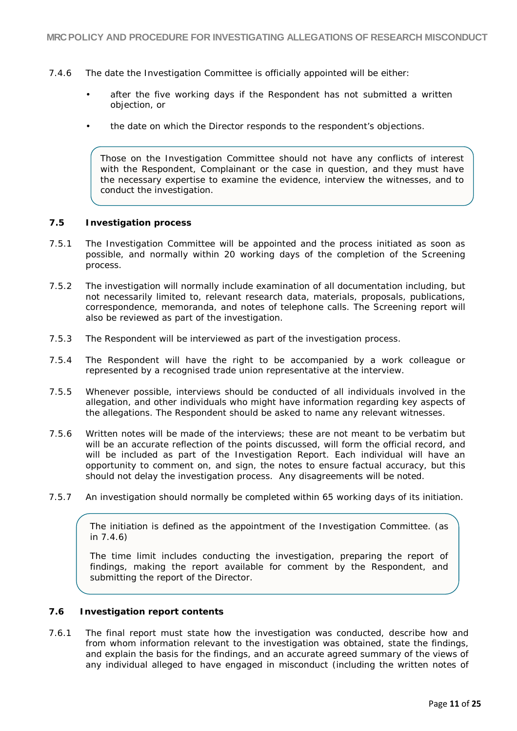- 7.4.6 The date the Investigation Committee is officially appointed will be either:
	- after the five working days if the Respondent has not submitted a written objection, or
	- the date on which the Director responds to the respondent's objections.

Those on the Investigation Committee should not have any conflicts of interest with the Respondent, Complainant or the case in question, and they must have the necessary expertise to examine the evidence, interview the witnesses, and to conduct the investigation.

### **7.5 Investigation process**

- 7.5.1 The Investigation Committee will be appointed and the process initiated as soon as possible, and normally within 20 working days of the completion of the Screening process.
- 7.5.2 The investigation will normally include examination of all documentation including, but not necessarily limited to, relevant research data, materials, proposals, publications, correspondence, memoranda, and notes of telephone calls. The Screening report will also be reviewed as part of the investigation.
- 7.5.3 The Respondent will be interviewed as part of the investigation process.
- 7.5.4 The Respondent will have the right to be accompanied by a work colleague or represented by a recognised trade union representative at the interview.
- 7.5.5 Whenever possible, interviews should be conducted of all individuals involved in the allegation, and other individuals who might have information regarding key aspects of the allegations. The Respondent should be asked to name any relevant witnesses.
- 7.5.6 Written notes will be made of the interviews; these are not meant to be verbatim but will be an accurate reflection of the points discussed, will form the official record, and will be included as part of the Investigation Report. Each individual will have an opportunity to comment on, and sign, the notes to ensure factual accuracy, but this should not delay the investigation process. Any disagreements will be noted.
- 7.5.7 An investigation should normally be completed within 65 working days of its initiation.

The initiation is defined as the appointment of the Investigation Committee. (as in 7.4.6)

The time limit includes conducting the investigation, preparing the report of findings, making the report available for comment by the Respondent, and submitting the report of the Director.

## **7.6 Investigation report contents**

7.6.1 The final report must state how the investigation was conducted, describe how and from whom information relevant to the investigation was obtained, state the findings, and explain the basis for the findings, and an accurate agreed summary of the views of any individual alleged to have engaged in misconduct (including the written notes of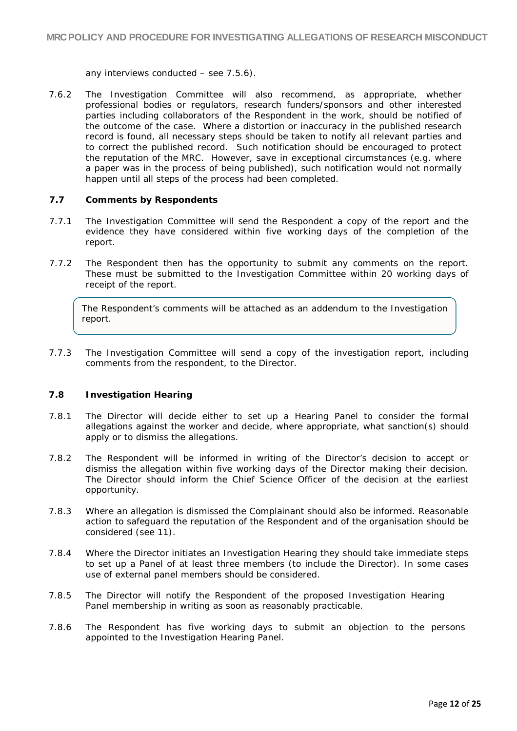any interviews conducted – see 7.5.6).

7.6.2 The Investigation Committee will also recommend, as appropriate, whether professional bodies or regulators, research funders/sponsors and other interested parties including collaborators of the Respondent in the work, should be notified of the outcome of the case. Where a distortion or inaccuracy in the published research record is found, all necessary steps should be taken to notify all relevant parties and to correct the published record. Such notification should be encouraged to protect the reputation of the MRC. However, save in exceptional circumstances (e.g. where a paper was in the process of being published), such notification would not normally happen until all steps of the process had been completed.

### **7.7 Comments by Respondents**

- 7.7.1 The Investigation Committee will send the Respondent a copy of the report and the evidence they have considered within five working days of the completion of the report.
- 7.7.2 The Respondent then has the opportunity to submit any comments on the report. These must be submitted to the Investigation Committee within 20 working days of receipt of the report.

The Respondent's comments will be attached as an addendum to the Investigation report.

7.7.3 The Investigation Committee will send a copy of the investigation report, including comments from the respondent, to the Director.

### **7.8 Investigation Hearing**

- 7.8.1 The Director will decide either to set up a Hearing Panel to consider the formal allegations against the worker and decide, where appropriate, what sanction(s) should apply or to dismiss the allegations.
- 7.8.2 The Respondent will be informed in writing of the Director's decision to accept or dismiss the allegation within five working days of the Director making their decision. The Director should inform the Chief Science Officer of the decision at the earliest opportunity.
- 7.8.3 Where an allegation is dismissed the Complainant should also be informed. Reasonable action to safeguard the reputation of the Respondent and of the organisation should be considered (see 11).
- 7.8.4 Where the Director initiates an Investigation Hearing they should take immediate steps to set up a Panel of at least three members (to include the Director). In some cases use of external panel members should be considered.
- 7.8.5 The Director will notify the Respondent of the proposed Investigation Hearing Panel membership in writing as soon as reasonably practicable.
- 7.8.6 The Respondent has five working days to submit an objection to the persons appointed to the Investigation Hearing Panel.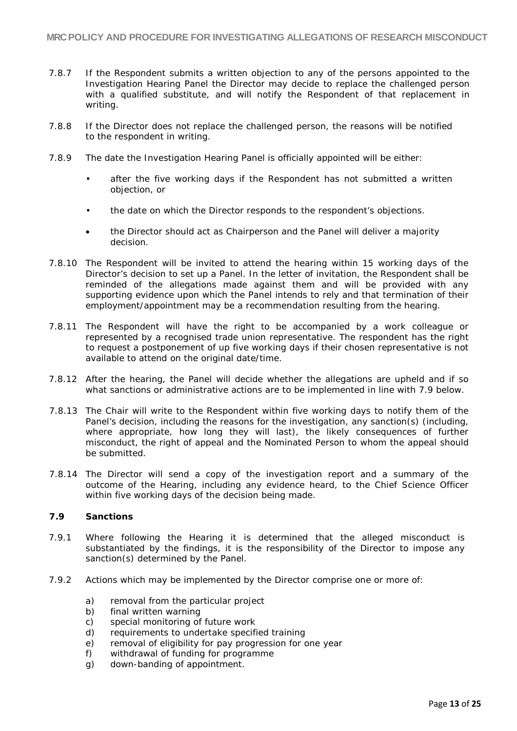- 7.8.7 If the Respondent submits a written objection to any of the persons appointed to the Investigation Hearing Panel the Director may decide to replace the challenged person with a qualified substitute, and will notify the Respondent of that replacement in writing.
- 7.8.8 If the Director does not replace the challenged person, the reasons will be notified to the respondent in writing.
- 7.8.9 The date the Investigation Hearing Panel is officially appointed will be either:
	- after the five working days if the Respondent has not submitted a written objection, or
	- the date on which the Director responds to the respondent's objections.
	- the Director should act as Chairperson and the Panel will deliver a majority decision.
- 7.8.10 The Respondent will be invited to attend the hearing within 15 working days of the Director's decision to set up a Panel. In the letter of invitation, the Respondent shall be reminded of the allegations made against them and will be provided with any supporting evidence upon which the Panel intends to rely and that termination of their employment/appointment may be a recommendation resulting from the hearing.
- 7.8.11 The Respondent will have the right to be accompanied by a work colleague or represented by a recognised trade union representative. The respondent has the right to request a postponement of up five working days if their chosen representative is not available to attend on the original date/time.
- 7.8.12 After the hearing, the Panel will decide whether the allegations are upheld and if so what sanctions or administrative actions are to be implemented in line with 7.9 below.
- 7.8.13 The Chair will write to the Respondent within five working days to notify them of the Panel's decision, including the reasons for the investigation, any sanction(s) (including, where appropriate, how long they will last), the likely consequences of further misconduct, the right of appeal and the Nominated Person to whom the appeal should be submitted.
- 7.8.14 The Director will send a copy of the investigation report and a summary of the outcome of the Hearing, including any evidence heard, to the Chief Science Officer within five working days of the decision being made.

## **7.9 Sanctions**

- 7.9.1 Where following the Hearing it is determined that the alleged misconduct is substantiated by the findings, it is the responsibility of the Director to impose any sanction(s) determined by the Panel.
- 7.9.2 Actions which may be implemented by the Director comprise one or more of:
	- a) removal from the particular project
	- b) final written warning
	- c) special monitoring of future work
	- d) requirements to undertake specified training
	- e) removal of eligibility for pay progression for one year
	- f) withdrawal of funding for programme
	- g) down-banding of appointment.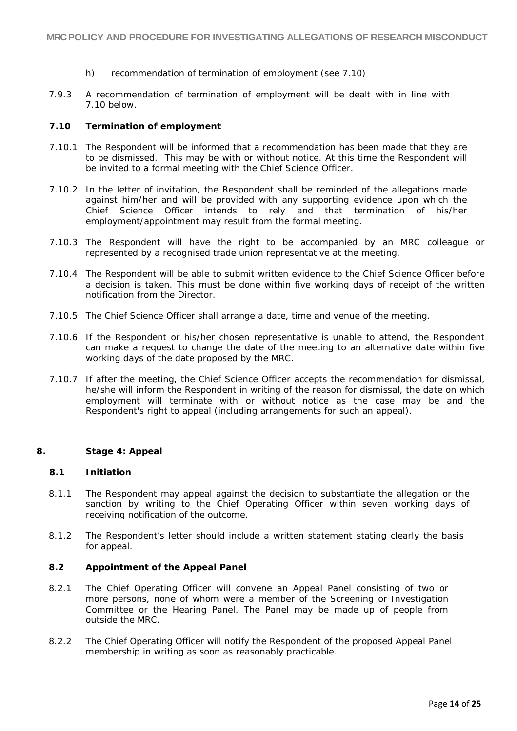- h) recommendation of termination of employment (see 7.10)
- 7.9.3 A recommendation of termination of employment will be dealt with in line with 7.10 below.

### **7.10 Termination of employment**

- 7.10.1 The Respondent will be informed that a recommendation has been made that they are to be dismissed. This may be with or without notice. At this time the Respondent will be invited to a formal meeting with the Chief Science Officer.
- 7.10.2 In the letter of invitation, the Respondent shall be reminded of the allegations made against him/her and will be provided with any supporting evidence upon which the Chief Science Officer intends to rely and that termination of his/her employment/appointment may result from the formal meeting.
- 7.10.3 The Respondent will have the right to be accompanied by an MRC colleague or represented by a recognised trade union representative at the meeting.
- 7.10.4 The Respondent will be able to submit written evidence to the Chief Science Officer before a decision is taken. This must be done within five working days of receipt of the written notification from the Director.
- 7.10.5 The Chief Science Officer shall arrange a date, time and venue of the meeting.
- 7.10.6 If the Respondent or his/her chosen representative is unable to attend, the Respondent can make a request to change the date of the meeting to an alternative date within five working days of the date proposed by the MRC.
- 7.10.7 If after the meeting, the Chief Science Officer accepts the recommendation for dismissal, he/she will inform the Respondent in writing of the reason for dismissal, the date on which employment will terminate with or without notice as the case may be and the Respondent's right to appeal (including arrangements for such an appeal).

### <span id="page-13-0"></span>**8. Stage 4: Appeal**

### **8.1 Initiation**

- 8.1.1 The Respondent may appeal against the decision to substantiate the allegation or the sanction by writing to the Chief Operating Officer within seven working days of receiving notification of the outcome.
- 8.1.2 The Respondent's letter should include a written statement stating clearly the basis for appeal.

### **8.2 Appointment of the Appeal Panel**

- 8.2.1 The Chief Operating Officer will convene an Appeal Panel consisting of two or more persons, none of whom were a member of the Screening or Investigation Committee or the Hearing Panel. The Panel may be made up of people from outside the MRC.
- 8.2.2 The Chief Operating Officer will notify the Respondent of the proposed Appeal Panel membership in writing as soon as reasonably practicable.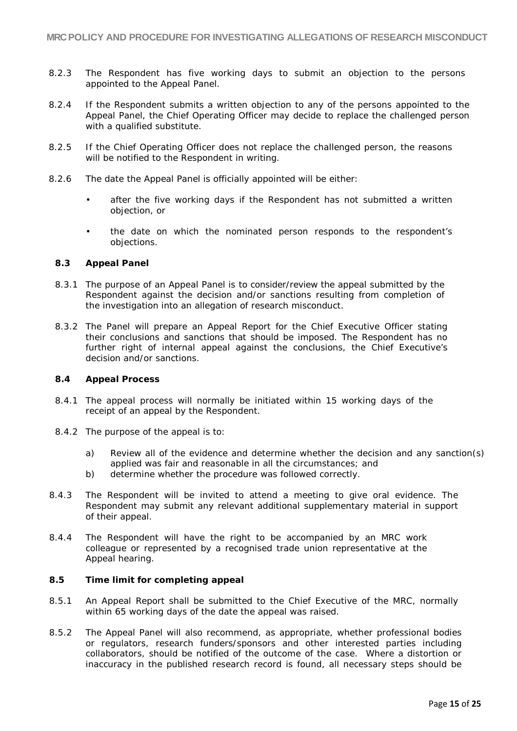- 8.2.3 The Respondent has five working days to submit an objection to the persons appointed to the Appeal Panel.
- 8.2.4 If the Respondent submits a written objection to any of the persons appointed to the Appeal Panel, the Chief Operating Officer may decide to replace the challenged person with a qualified substitute.
- 8.2.5 If the Chief Operating Officer does not replace the challenged person, the reasons will be notified to the Respondent in writing.
- 8.2.6 The date the Appeal Panel is officially appointed will be either:
	- after the five working days if the Respondent has not submitted a written objection, or
	- the date on which the nominated person responds to the respondent's objections.

### **8.3 Appeal Panel**

- 8.3.1 The purpose of an Appeal Panel is to consider/review the appeal submitted by the Respondent against the decision and/or sanctions resulting from completion of the investigation into an allegation of research misconduct.
- 8.3.2 The Panel will prepare an Appeal Report for the Chief Executive Officer stating their conclusions and sanctions that should be imposed. The Respondent has no further right of internal appeal against the conclusions, the Chief Executive's decision and/or sanctions.

### **8.4 Appeal Process**

- 8.4.1 The appeal process will normally be initiated within 15 working days of the receipt of an appeal by the Respondent.
- 8.4.2 The purpose of the appeal is to:
	- a) Review all of the evidence and determine whether the decision and any sanction(s) applied was fair and reasonable in all the circumstances; and
	- b) determine whether the procedure was followed correctly.
- 8.4.3 The Respondent will be invited to attend a meeting to give oral evidence. The Respondent may submit any relevant additional supplementary material in support of their appeal.
- 8.4.4 The Respondent will have the right to be accompanied by an MRC work colleague or represented by a recognised trade union representative at the Appeal hearing.

### **8.5 Time limit for completing appeal**

- 8.5.1 An Appeal Report shall be submitted to the Chief Executive of the MRC, normally within 65 working days of the date the appeal was raised.
- 8.5.2 The Appeal Panel will also recommend, as appropriate, whether professional bodies or regulators, research funders/sponsors and other interested parties including collaborators, should be notified of the outcome of the case. Where a distortion or inaccuracy in the published research record is found, all necessary steps should be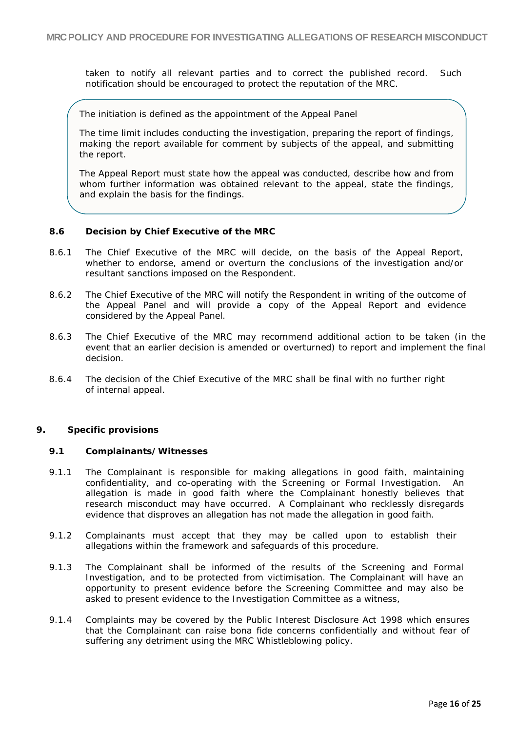taken to notify all relevant parties and to correct the published record. Such notification should be encouraged to protect the reputation of the MRC.

The initiation is defined as the appointment of the Appeal Panel

The time limit includes conducting the investigation, preparing the report of findings, making the report available for comment by subjects of the appeal, and submitting the report.

The Appeal Report must state how the appeal was conducted, describe how and from whom further information was obtained relevant to the appeal, state the findings, and explain the basis for the findings.

### **8.6 Decision by Chief Executive of the MRC**

- 8.6.1 The Chief Executive of the MRC will decide, on the basis of the Appeal Report, whether to endorse, amend or overturn the conclusions of the investigation and/or resultant sanctions imposed on the Respondent.
- 8.6.2 The Chief Executive of the MRC will notify the Respondent in writing of the outcome of the Appeal Panel and will provide a copy of the Appeal Report and evidence considered by the Appeal Panel.
- 8.6.3 The Chief Executive of the MRC may recommend additional action to be taken (in the event that an earlier decision is amended or overturned) to report and implement the final decision.
- 8.6.4 The decision of the Chief Executive of the MRC shall be final with no further right of internal appeal.

### <span id="page-15-0"></span>**9. Specific provisions**

### **9.1 Complainants/Witnesses**

- 9.1.1 The Complainant is responsible for making allegations in good faith, maintaining confidentiality, and co-operating with the Screening or Formal Investigation. An allegation is made in good faith where the Complainant honestly believes that research misconduct may have occurred. A Complainant who recklessly disregards evidence that disproves an allegation has not made the allegation in good faith.
- 9.1.2 Complainants must accept that they may be called upon to establish their allegations within the framework and safeguards of this procedure.
- 9.1.3 The Complainant shall be informed of the results of the Screening and Formal Investigation, and to be protected from victimisation. The Complainant will have an opportunity to present evidence before the Screening Committee and may also be asked to present evidence to the Investigation Committee as a witness,
- 9.1.4 Complaints may be covered by the Public Interest Disclosure Act 1998 which ensures that the Complainant can raise bona fide concerns confidentially and without fear of suffering any detriment using the MRC Whistleblowing policy.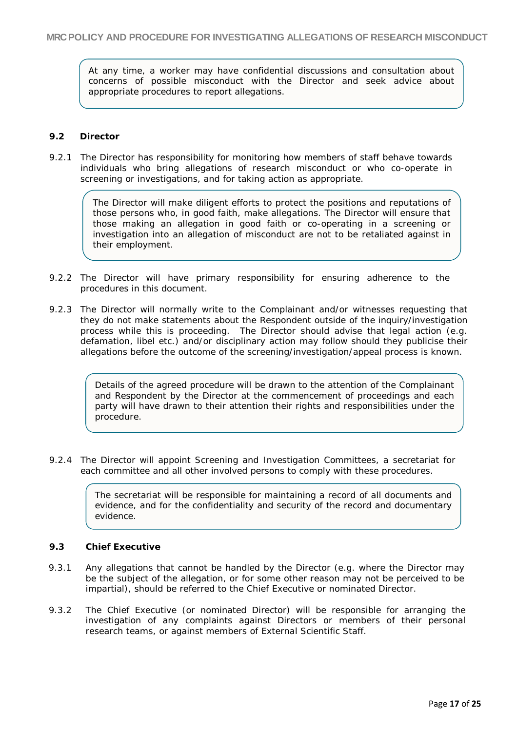At any time, a worker may have confidential discussions and consultation about concerns of possible misconduct with the Director and seek advice about appropriate procedures to report allegations.

### **9.2 Director**

9.2.1 The Director has responsibility for monitoring how members of staff behave towards individuals who bring allegations of research misconduct or who co-operate in screening or investigations, and for taking action as appropriate.

> The Director will make diligent efforts to protect the positions and reputations of those persons who, in good faith, make allegations. The Director will ensure that those making an allegation in good faith or co-operating in a screening or investigation into an allegation of misconduct are not to be retaliated against in their employment.

- 9.2.2 The Director will have primary responsibility for ensuring adherence to the procedures in this document.
- 9.2.3 The Director will normally write to the Complainant and/or witnesses requesting that they do not make statements about the Respondent outside of the inquiry/investigation process while this is proceeding. The Director should advise that legal action (e.g. defamation, libel etc.) and/or disciplinary action may follow should they publicise their allegations before the outcome of the screening/investigation/appeal process is known.

Details of the agreed procedure will be drawn to the attention of the Complainant and Respondent by the Director at the commencement of proceedings and each party will have drawn to their attention their rights and responsibilities under the procedure.

9.2.4 The Director will appoint Screening and Investigation Committees, a secretariat for each committee and all other involved persons to comply with these procedures.

> The secretariat will be responsible for maintaining a record of all documents and evidence, and for the confidentiality and security of the record and documentary evidence.

## **9.3 Chief Executive**

- 9.3.1 Any allegations that cannot be handled by the Director (e.g. where the Director may be the subject of the allegation, or for some other reason may not be perceived to be impartial), should be referred to the Chief Executive or nominated Director.
- 9.3.2 The Chief Executive (or nominated Director) will be responsible for arranging the investigation of any complaints against Directors or members of their personal research teams, or against members of External Scientific Staff.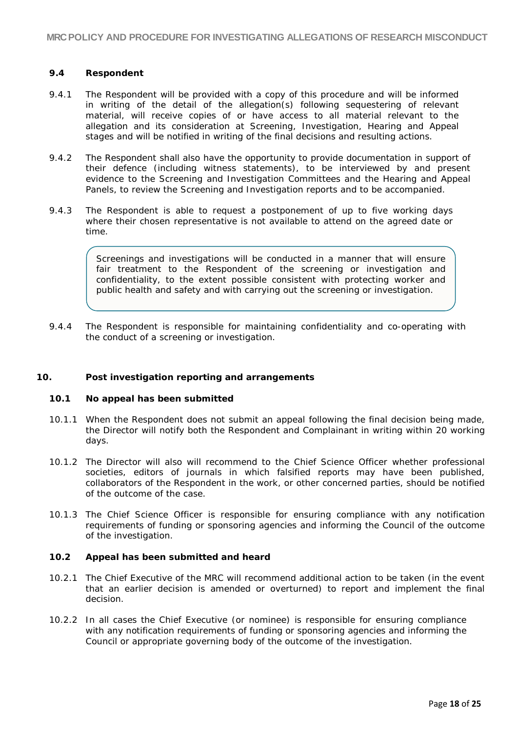## **9.4 Respondent**

- 9.4.1 The Respondent will be provided with a copy of this procedure and will be informed in writing of the detail of the allegation(s) following sequestering of relevant material, will receive copies of or have access to all material relevant to the allegation and its consideration at Screening, Investigation, Hearing and Appeal stages and will be notified in writing of the final decisions and resulting actions.
- 9.4.2 The Respondent shall also have the opportunity to provide documentation in support of their defence (including witness statements), to be interviewed by and present evidence to the Screening and Investigation Committees and the Hearing and Appeal Panels, to review the Screening and Investigation reports and to be accompanied.
- 9.4.3 The Respondent is able to request a postponement of up to five working days where their chosen representative is not available to attend on the agreed date or time.

Screenings and investigations will be conducted in a manner that will ensure fair treatment to the Respondent of the screening or investigation and confidentiality, to the extent possible consistent with protecting worker and public health and safety and with carrying out the screening or investigation.

9.4.4 The Respondent is responsible for maintaining confidentiality and co-operating with the conduct of a screening or investigation.

## <span id="page-17-0"></span>**10. Post investigation reporting and arrangements**

## **10.1 No appeal has been submitted**

- 10.1.1 When the Respondent does not submit an appeal following the final decision being made, the Director will notify both the Respondent and Complainant in writing within 20 working days.
- 10.1.2 The Director will also will recommend to the Chief Science Officer whether professional societies, editors of journals in which falsified reports may have been published, collaborators of the Respondent in the work, or other concerned parties, should be notified of the outcome of the case.
- 10.1.3 The Chief Science Officer is responsible for ensuring compliance with any notification requirements of funding or sponsoring agencies and informing the Council of the outcome of the investigation.

## **10.2 Appeal has been submitted and heard**

- 10.2.1 The Chief Executive of the MRC will recommend additional action to be taken (in the event that an earlier decision is amended or overturned) to report and implement the final decision.
- 10.2.2 In all cases the Chief Executive (or nominee) is responsible for ensuring compliance with any notification requirements of funding or sponsoring agencies and informing the Council or appropriate governing body of the outcome of the investigation.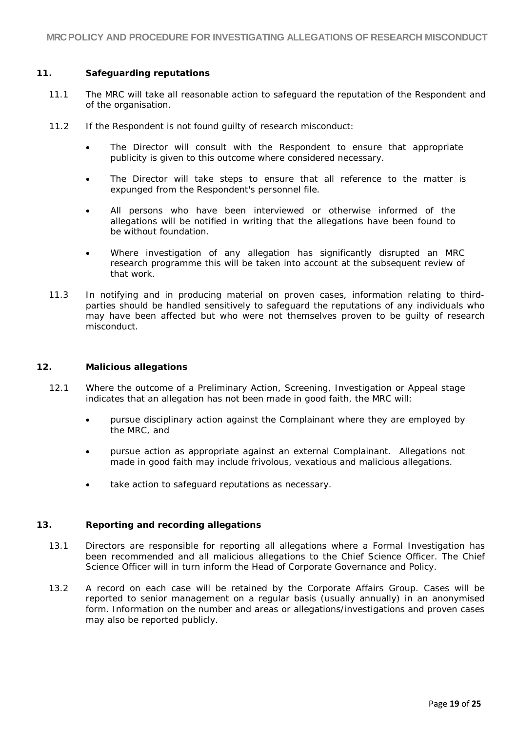## <span id="page-18-0"></span>**11. Safeguarding reputations**

- 11.1 The MRC will take all reasonable action to safeguard the reputation of the Respondent and of the organisation.
- 11.2 If the Respondent is not found guilty of research misconduct:
	- The Director will consult with the Respondent to ensure that appropriate publicity is given to this outcome where considered necessary.
	- The Director will take steps to ensure that all reference to the matter is expunged from the Respondent's personnel file.
	- All persons who have been interviewed or otherwise informed of the allegations will be notified in writing that the allegations have been found to be without foundation.
	- Where investigation of any allegation has significantly disrupted an MRC research programme this will be taken into account at the subsequent review of that work.
- 11.3 In notifying and in producing material on proven cases, information relating to thirdparties should be handled sensitively to safeguard the reputations of any individuals who may have been affected but who were not themselves proven to be guilty of research misconduct.

## <span id="page-18-1"></span>**12. Malicious allegations**

- 12.1 Where the outcome of a Preliminary Action, Screening, Investigation or Appeal stage indicates that an allegation has not been made in good faith, the MRC will:
	- pursue disciplinary action against the Complainant where they are employed by the MRC, and
	- pursue action as appropriate against an external Complainant. Allegations not made in good faith may include frivolous, vexatious and malicious allegations.
	- take action to safeguard reputations as necessary.

## <span id="page-18-2"></span>**13. Reporting and recording allegations**

- 13.1 Directors are responsible for reporting all allegations where a Formal Investigation has been recommended and all malicious allegations to the Chief Science Officer. The Chief Science Officer will in turn inform the Head of Corporate Governance and Policy.
- 13.2 A record on each case will be retained by the Corporate Affairs Group. Cases will be reported to senior management on a regular basis (usually annually) in an anonymised form. Information on the number and areas or allegations/investigations and proven cases may also be reported publicly.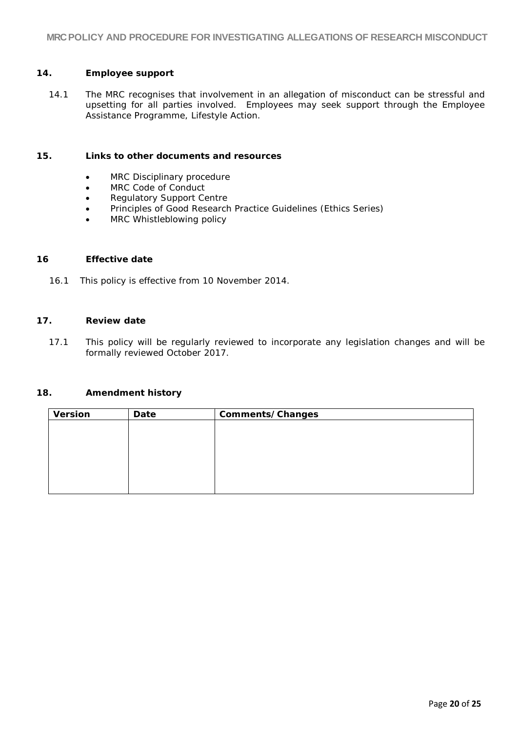## <span id="page-19-0"></span>**14. Employee support**

14.1 The MRC recognises that involvement in an allegation of misconduct can be stressful and upsetting for all parties involved. Employees may seek support through the Employee Assistance Programme, Lifestyle Action.

### <span id="page-19-1"></span>**15. Links to other documents and resources**

- MRC Disciplinary procedure
- MRC Code of Conduct
- Regulatory Support Centre
- Principles of Good Research Practice Guidelines (Ethics Series)
- MRC Whistleblowing policy

### <span id="page-19-2"></span>**16 Effective date**

16.1 This policy is effective from 10 November 2014.

## <span id="page-19-3"></span>**17. Review date**

17.1 This policy will be regularly reviewed to incorporate any legislation changes and will be formally reviewed October 2017.

## <span id="page-19-4"></span>**18. Amendment history**

| <b>Version</b> | Date | Comments/Changes |  |
|----------------|------|------------------|--|
|                |      |                  |  |
|                |      |                  |  |
|                |      |                  |  |
|                |      |                  |  |
|                |      |                  |  |
|                |      |                  |  |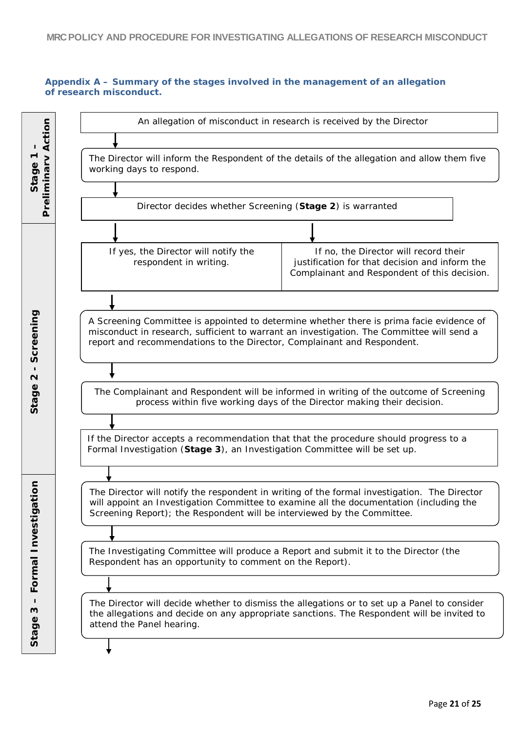## **Appendix A – Summary of the stages involved in the management of an allegation of research misconduct.**

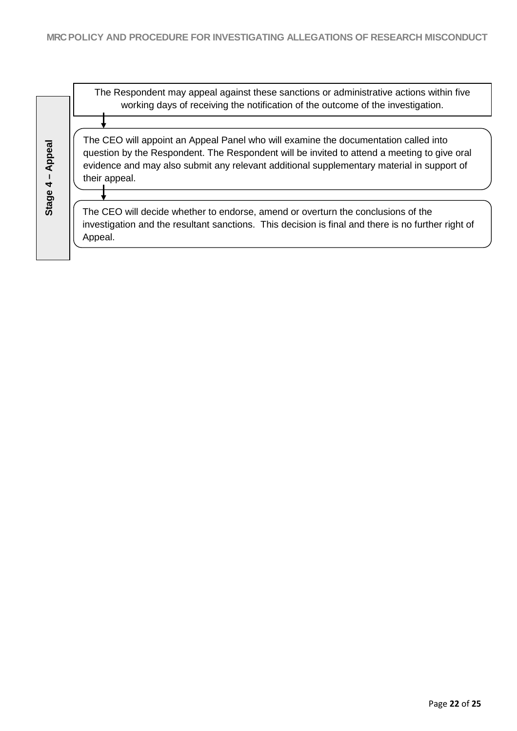The Respondent may appeal against these sanctions or administrative actions within five working days of receiving the notification of the outcome of the investigation. **Stage 4 – Appeal** The CEO will appoint an Appeal Panel who will examine the documentation called into question by the Respondent. The Respondent will be invited to attend a meeting to give oral evidence and may also submit any relevant additional supplementary material in support of their appeal. The CEO will decide whether to endorse, amend or overturn the conclusions of the investigation and the resultant sanctions. This decision is final and there is no further right of Appeal.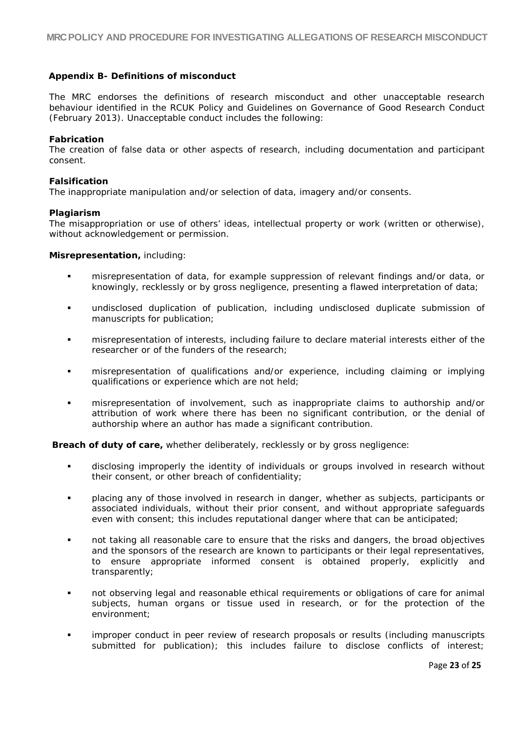### <span id="page-22-0"></span>**Appendix B- Definitions of misconduct**

The MRC endorses the definitions of research misconduct and other unacceptable research behaviour identified in the RCUK Policy and Guidelines on Governance of Good Research Conduct (February 2013). Unacceptable conduct includes the following:

#### **Fabrication**

The creation of false data or other aspects of research, including documentation and participant consent.

### **Falsification**

The inappropriate manipulation and/or selection of data, imagery and/or consents.

#### **Plagiarism**

The misappropriation or use of others' ideas, intellectual property or work (written or otherwise), without acknowledgement or permission.

#### **Misrepresentation,** including:

- misrepresentation of data, for example suppression of relevant findings and/or data, or knowingly, recklessly or by gross negligence, presenting a flawed interpretation of data;
- undisclosed duplication of publication, including undisclosed duplicate submission of manuscripts for publication;
- misrepresentation of interests, including failure to declare material interests either of the researcher or of the funders of the research;
- misrepresentation of qualifications and/or experience, including claiming or implying qualifications or experience which are not held;
- misrepresentation of involvement, such as inappropriate claims to authorship and/or attribution of work where there has been no significant contribution, or the denial of authorship where an author has made a significant contribution.

**Breach of duty of care,** whether deliberately, recklessly or by gross negligence:

- disclosing improperly the identity of individuals or groups involved in research without their consent, or other breach of confidentiality;
- placing any of those involved in research in danger, whether as subjects, participants or associated individuals, without their prior consent, and without appropriate safeguards even with consent; this includes reputational danger where that can be anticipated;
- not taking all reasonable care to ensure that the risks and dangers, the broad objectives and the sponsors of the research are known to participants or their legal representatives, to ensure appropriate informed consent is obtained properly, explicitly and transparently;
- **number 10** not observing legal and reasonable ethical requirements or obligations of care for animal subjects, human organs or tissue used in research, or for the protection of the environment;
- improper conduct in peer review of research proposals or results (including manuscripts submitted for publication); this includes failure to disclose conflicts of interest;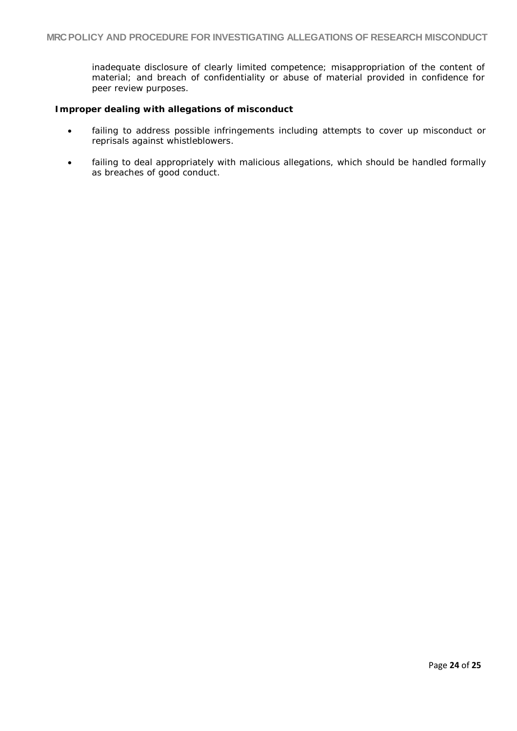inadequate disclosure of clearly limited competence; misappropriation of the content of material; and breach of confidentiality or abuse of material provided in confidence for peer review purposes.

### **Improper dealing with allegations of misconduct**

- failing to address possible infringements including attempts to cover up misconduct or reprisals against whistleblowers.
- failing to deal appropriately with malicious allegations, which should be handled formally as breaches of good conduct.